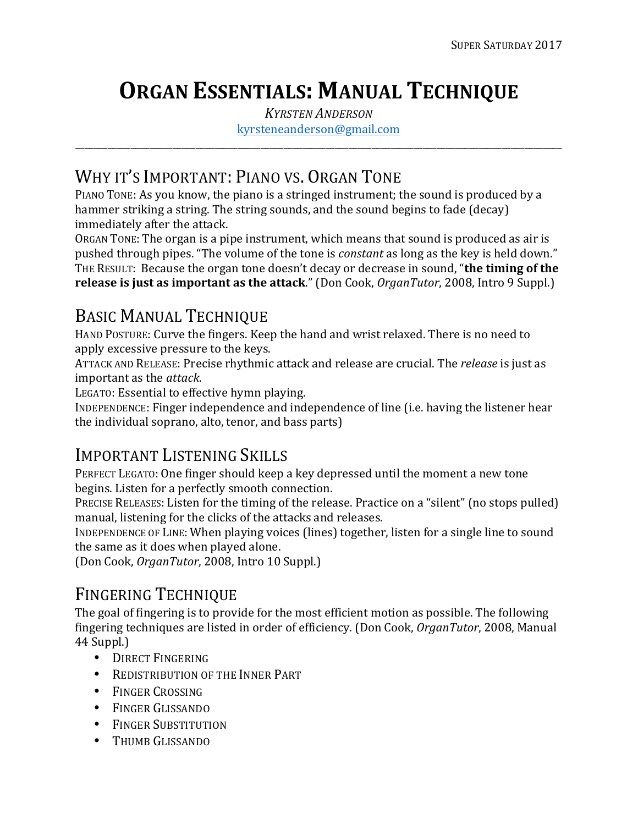# **ORGAN ESSENTIALS: MANUAL TECHNIQUE**

*KYRSTEN ANDERSON* kyrsteneanderson@gmail.com

\_\_\_\_\_\_\_\_\_\_\_\_\_\_\_\_\_\_\_\_\_\_\_\_\_\_\_\_\_\_\_\_\_\_\_\_\_\_\_\_\_\_\_\_\_\_\_\_\_\_\_\_\_\_\_\_\_\_\_\_\_\_\_\_\_\_\_\_\_\_\_\_\_\_\_\_\_\_\_\_\_\_\_\_\_\_\_\_\_\_\_\_\_\_\_\_\_\_\_\_\_\_\_\_\_

### WHY IT'S IMPORTANT: PIANO VS. ORGAN TONE

PIANO TONE: As you know, the piano is a stringed instrument; the sound is produced by a hammer striking a string. The string sounds, and the sound begins to fade (decay) immediately after the attack.

ORGAN TONE: The organ is a pipe instrument, which means that sound is produced as air is pushed through pipes. "The volume of the tone is *constant* as long as the key is held down." THE RESULT: Because the organ tone doesn't decay or decrease in sound, "the timing of the **release is just as important as the attack**." (Don Cook, *OrganTutor*, 2008, Intro 9 Suppl.)

### BASIC MANUAL TECHNIQUE

HAND POSTURE: Curve the fingers. Keep the hand and wrist relaxed. There is no need to apply excessive pressure to the keys.

ATTACK AND RELEASE: Precise rhythmic attack and release are crucial. The *release* is just as important as the *attack*.

LEGATO: Essential to effective hymn playing.

INDEPENDENCE: Finger independence and independence of line (i.e. having the listener hear the individual soprano, alto, tenor, and bass parts)

### IMPORTANT LISTENING SKILLS

PERFECT LEGATO: One finger should keep a key depressed until the moment a new tone begins. Listen for a perfectly smooth connection.

PRECISE RELEASES: Listen for the timing of the release. Practice on a "silent" (no stops pulled) manual, listening for the clicks of the attacks and releases.

INDEPENDENCE OF LINE: When playing voices (lines) together, listen for a single line to sound the same as it does when played alone.

(Don Cook, *OrganTutor*, 2008, Intro 10 Suppl.)

### FINGERING TECHNIQUE

The goal of fingering is to provide for the most efficient motion as possible. The following fingering techniques are listed in order of efficiency. (Don Cook, *OrganTutor*, 2008, Manual 44 Suppl.)

- DIRECT FINGERING
- REDISTRIBUTION OF THE INNER PART
- FINGER CROSSING
- FINGER GLISSANDO
- FINGER SUBSTITUTION
- THUMB GLISSANDO